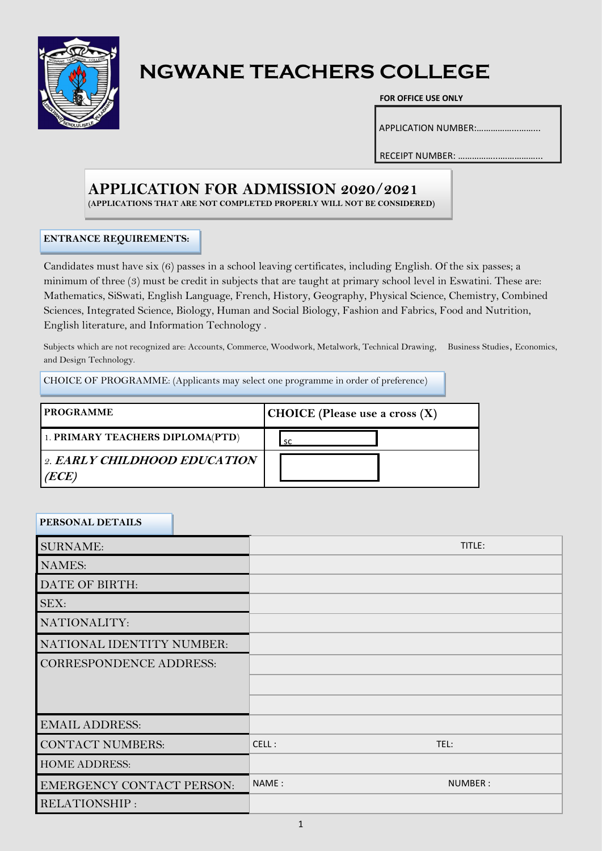

# **NGWANE TEACHERS COLLEGE**

#### **FOR OFFICE USE ONLY**

APPLICATION NUMBER:……………...……...

RECEIPT NUMBER: ……………..….…………...

## **APPLICATION FOR ADMISSION 2020/2021**

**(APPLICATIONS THAT ARE NOT COMPLETED PROPERLY WILL NOT BE CONSIDERED)**

#### **ENTRANCE REQUIREMENTS:**

Candidates must have six (6) passes in a school leaving certificates, including English. Of the six passes; a minimum of three (3) must be credit in subjects that are taught at primary school level in Eswatini. These are: Mathematics, SiSwati, English Language, French, History, Geography, Physical Science, Chemistry, Combined Sciences, Integrated Science, Biology, Human and Social Biology, Fashion and Fabrics, Food and Nutrition, English literature, and Information Technology .

Subjects which are not recognized are: Accounts, Commerce, Woodwork, Metalwork, Technical Drawing, Business Studies, Economics, and Design Technology.

CHOICE OF PROGRAMME: (Applicants may select one programme in order of preference)

| <b>PROGRAMME</b>                      | <b>CHOICE</b> (Please use a cross $(X)$ |
|---------------------------------------|-----------------------------------------|
| 1. PRIMARY TEACHERS DIPLOMA(PTD)      | . SC                                    |
| 2. EARLY CHILDHOOD EDUCATION<br>(ECE) |                                         |

#### **PERSONAL DETAILS**

| <b>SURNAME:</b>                  |  |       | TITLE:  |  |
|----------------------------------|--|-------|---------|--|
| <b>NAMES:</b>                    |  |       |         |  |
| DATE OF BIRTH:                   |  |       |         |  |
| <b>SEX:</b>                      |  |       |         |  |
| NATIONALITY:                     |  |       |         |  |
| NATIONAL IDENTITY NUMBER:        |  |       |         |  |
| <b>CORRESPONDENCE ADDRESS:</b>   |  |       |         |  |
|                                  |  |       |         |  |
|                                  |  |       |         |  |
| <b>EMAIL ADDRESS:</b>            |  |       |         |  |
| <b>CONTACT NUMBERS:</b>          |  | CELL: | TEL:    |  |
| <b>HOME ADDRESS:</b>             |  |       |         |  |
| <b>EMERGENCY CONTACT PERSON:</b> |  | NAME: | NUMBER: |  |
| RELATIONSHIP:                    |  |       |         |  |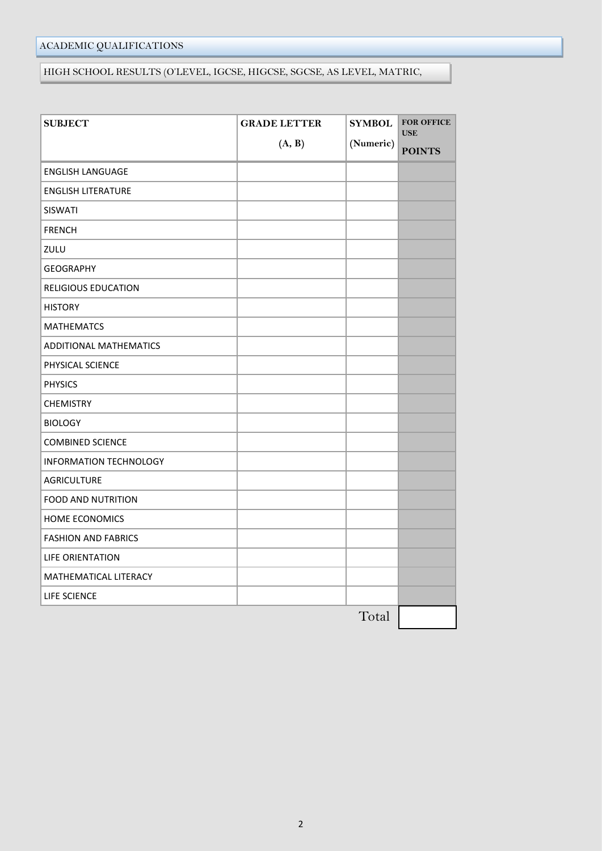## ACADEMIC QUALIFICATIONS

#### HIGH SCHOOL RESULTS (O'LEVEL, IGCSE, HIGCSE, SGCSE, AS LEVEL, MATRIC,

| <b>SUBJECT</b>                | <b>GRADE LETTER</b> | <b>SYMBOL</b> | <b>FOR OFFICE</b><br><b>USE</b> |
|-------------------------------|---------------------|---------------|---------------------------------|
|                               | (A, B)              | (Numeric)     | <b>POINTS</b>                   |
| <b>ENGLISH LANGUAGE</b>       |                     |               |                                 |
| <b>ENGLISH LITERATURE</b>     |                     |               |                                 |
| <b>SISWATI</b>                |                     |               |                                 |
| <b>FRENCH</b>                 |                     |               |                                 |
| ZULU                          |                     |               |                                 |
| <b>GEOGRAPHY</b>              |                     |               |                                 |
| <b>RELIGIOUS EDUCATION</b>    |                     |               |                                 |
| <b>HISTORY</b>                |                     |               |                                 |
| <b>MATHEMATCS</b>             |                     |               |                                 |
| ADDITIONAL MATHEMATICS        |                     |               |                                 |
| PHYSICAL SCIENCE              |                     |               |                                 |
| <b>PHYSICS</b>                |                     |               |                                 |
| <b>CHEMISTRY</b>              |                     |               |                                 |
| <b>BIOLOGY</b>                |                     |               |                                 |
| <b>COMBINED SCIENCE</b>       |                     |               |                                 |
| <b>INFORMATION TECHNOLOGY</b> |                     |               |                                 |
| <b>AGRICULTURE</b>            |                     |               |                                 |
| <b>FOOD AND NUTRITION</b>     |                     |               |                                 |
| <b>HOME ECONOMICS</b>         |                     |               |                                 |
| <b>FASHION AND FABRICS</b>    |                     |               |                                 |
| <b>LIFE ORIENTATION</b>       |                     |               |                                 |
| MATHEMATICAL LITERACY         |                     |               |                                 |
| LIFE SCIENCE                  |                     |               |                                 |
|                               |                     | Total         |                                 |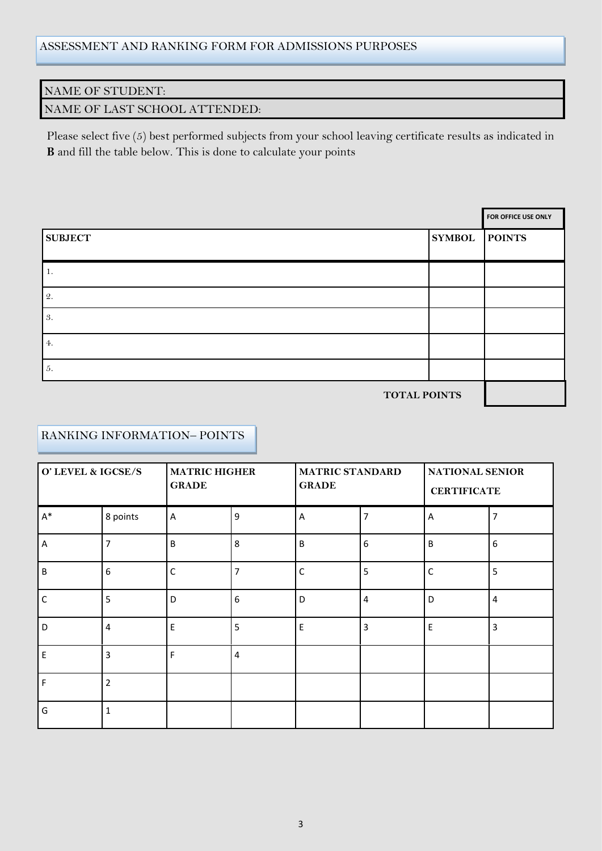#### NAME OF STUDENT:

## NAME OF LAST SCHOOL ATTENDED:

Please select five (5) best performed subjects from your school leaving certificate results as indicated in **B** and fill the table below. This is done to calculate your points

|                     |               | FOR OFFICE USE ONLY |
|---------------------|---------------|---------------------|
| <b>SUBJECT</b>      | <b>SYMBOL</b> | <b>POINTS</b>       |
| -1.                 |               |                     |
| 2.                  |               |                     |
| 3.                  |               |                     |
| 4.                  |               |                     |
| 5.                  |               |                     |
| <b>TOTAL POINTS</b> |               |                     |

#### RANKING INFORMATION– POINTS

| O' LEVEL & IGCSE/S |                | <b>MATRIC HIGHER</b><br><b>GRADE</b> |                | <b>MATRIC STANDARD</b><br><b>GRADE</b> |                | NATIONAL SENIOR<br><b>CERTIFICATE</b> |                         |
|--------------------|----------------|--------------------------------------|----------------|----------------------------------------|----------------|---------------------------------------|-------------------------|
| $A^*$              | 8 points       | A                                    | 9              | A                                      | 7              | Α                                     | 7                       |
| A                  | $\overline{7}$ | B                                    | 8              | $\sf B$                                | 6              | B                                     | 6                       |
| B                  | 6              | $\mathsf{C}$                         | $\overline{7}$ | $\mathsf C$                            | 5              | C                                     | 5                       |
| $\mathsf{C}$       | 5              | D                                    | 6              | D                                      | $\overline{4}$ | D                                     | $\overline{\mathbf{4}}$ |
| D                  | 4              | E                                    | 5              | E                                      | 3              | E                                     | 3                       |
| E                  | $\overline{3}$ | F                                    | $\overline{4}$ |                                        |                |                                       |                         |
| F                  | $\overline{2}$ |                                      |                |                                        |                |                                       |                         |
| G                  | $\mathbf{1}$   |                                      |                |                                        |                |                                       |                         |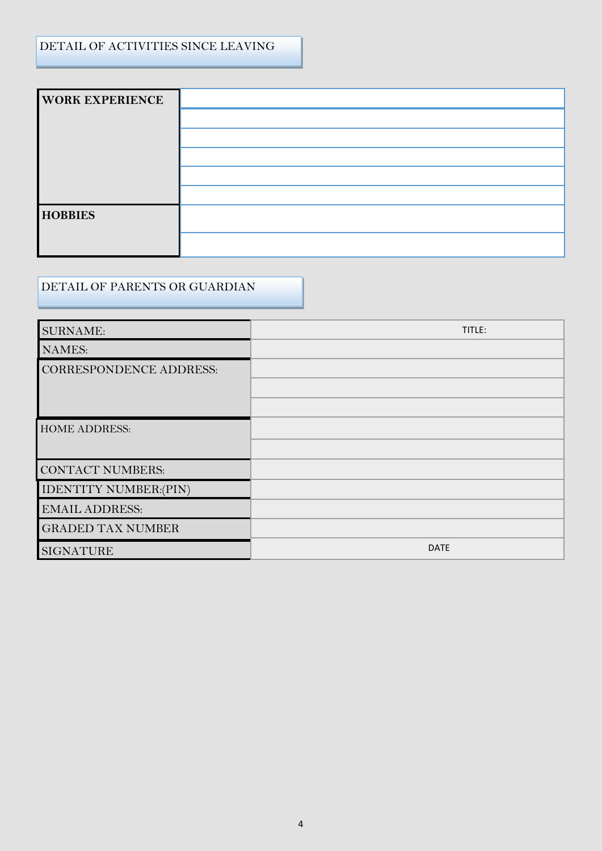## DETAIL OF ACTIVITIES SINCE LEAVING

| <b>WORK EXPERIENCE</b> |  |
|------------------------|--|
|                        |  |
|                        |  |
|                        |  |
|                        |  |
|                        |  |
| <b>HOBBIES</b>         |  |
|                        |  |
|                        |  |

# DETAIL OF PARENTS OR GUARDIAN

| <b>SURNAME:</b>                | TITLE:      |
|--------------------------------|-------------|
| <b>NAMES:</b>                  |             |
| <b>CORRESPONDENCE ADDRESS:</b> |             |
|                                |             |
|                                |             |
| <b>HOME ADDRESS:</b>           |             |
|                                |             |
| <b>CONTACT NUMBERS:</b>        |             |
| <b>IDENTITY NUMBER:(PIN)</b>   |             |
| <b>EMAIL ADDRESS:</b>          |             |
| <b>GRADED TAX NUMBER</b>       |             |
| <b>SIGNATURE</b>               | <b>DATE</b> |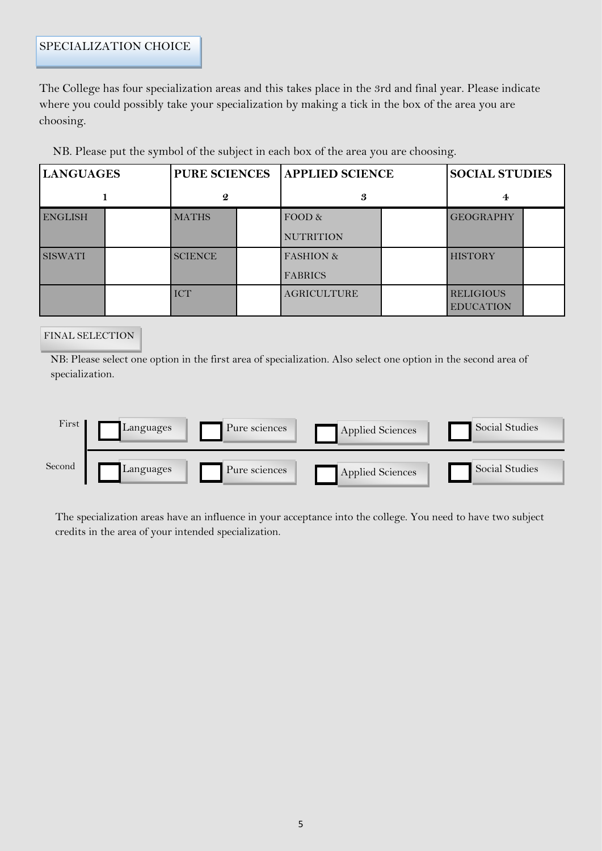The College has four specialization areas and this takes place in the 3rd and final year. Please indicate where you could possibly take your specialization by making a tick in the box of the area you are choosing.

| <b>LANGUAGES</b> |  | <b>PURE SCIENCES</b> |  | <b>APPLIED SCIENCE</b> |  | <b>SOCIAL STUDIES</b> |  |
|------------------|--|----------------------|--|------------------------|--|-----------------------|--|
|                  |  | $\boldsymbol{2}$     |  | 3                      |  | 4                     |  |
| <b>ENGLISH</b>   |  | <b>MATHS</b>         |  | FOOD &                 |  | <b>GEOGRAPHY</b>      |  |
|                  |  |                      |  | <b>NUTRITION</b>       |  |                       |  |
| <b>SISWATI</b>   |  | <b>SCIENCE</b>       |  | <b>FASHION &amp;</b>   |  | <b>HISTORY</b>        |  |
|                  |  |                      |  | <b>FABRICS</b>         |  |                       |  |
|                  |  | <b>ICT</b>           |  | <b>AGRICULTURE</b>     |  | <b>RELIGIOUS</b>      |  |
|                  |  |                      |  |                        |  | <b>EDUCATION</b>      |  |

NB. Please put the symbol of the subject in each box of the area you are choosing.

#### FINAL SELECTION

NB: Please select one option in the first area of specialization. Also select one option in the second area of specialization.



The specialization areas have an influence in your acceptance into the college. You need to have two subject credits in the area of your intended specialization.